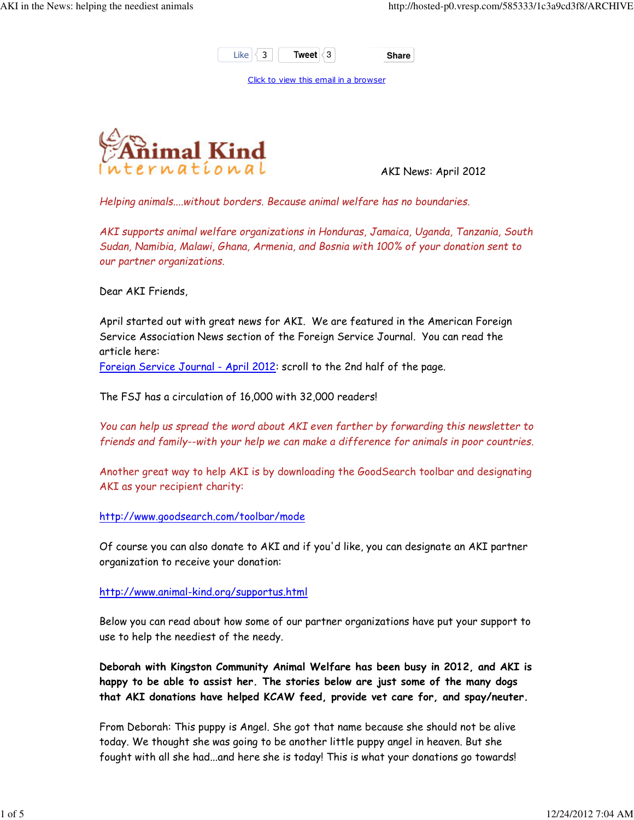

Click to view this email in a browser



AKI News: April 2012

Helping animals....without borders. Because animal welfare has no boundaries.

AKI supports animal welfare organizations in Honduras, Jamaica, Uganda, Tanzania, South Sudan, Namibia, Malawi, Ghana, Armenia, and Bosnia with 100% of your donation sent to our partner organizations.

Dear AKI Friends,

April started out with great news for AKI. We are featured in the American Foreign Service Association News section of the Foreign Service Journal. You can read the article here:

Foreign Service Journal - April 2012: scroll to the 2nd half of the page.

The FSJ has a circulation of 16,000 with 32,000 readers!

You can help us spread the word about AKI even farther by forwarding this newsletter to friends and family--with your help we can make a difference for animals in poor countries.

Another great way to help AKI is by downloading the GoodSearch toolbar and designating AKI as your recipient charity:

http://www.goodsearch.com/toolbar/mode

Of course you can also donate to AKI and if you'd like, you can designate an AKI partner organization to receive your donation:

http://www.animal-kind.org/supportus.html

Below you can read about how some of our partner organizations have put your support to use to help the neediest of the needy.

Deborah with Kingston Community Animal Welfare has been busy in 2012, and AKI is happy to be able to assist her. The stories below are just some of the many dogs that AKI donations have helped KCAW feed, provide vet care for, and spay/neuter.

From Deborah: This puppy is Angel. She got that name because she should not be alive today. We thought she was going to be another little puppy angel in heaven. But she fought with all she had...and here she is today! This is what your donations go towards!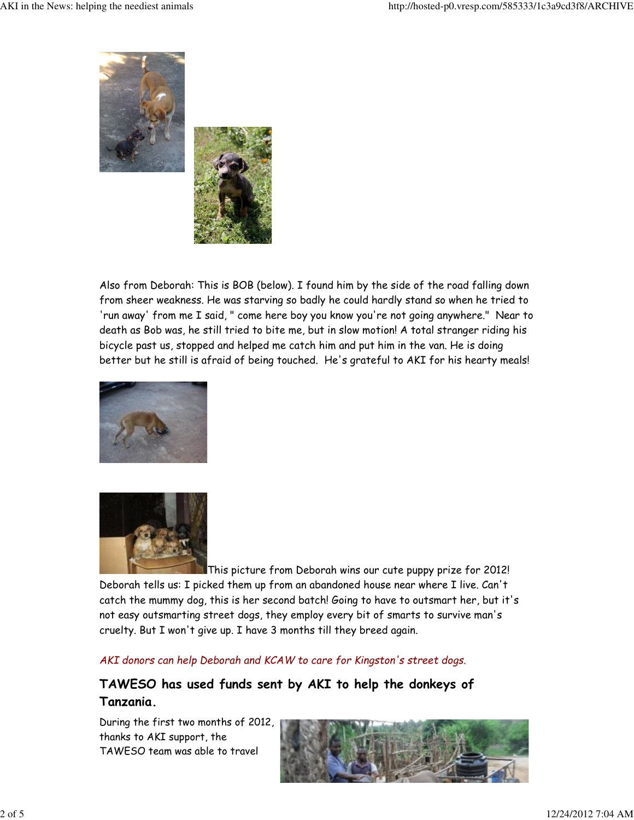

Also from Deborah: This is BOB (below). I found him by the side of the road falling down from sheer weakness. He was starving so badly he could hardly stand so when he tried to 'run away' from me I said, " come here boy you know you're not going anywhere." Near to death as Bob was, he still tried to bite me, but in slow motion! A total stranger riding his bicycle past us, stopped and helped me catch him and put him in the van. He is doing better but he still is afraid of being touched. He's grateful to AKI for his hearty meals!





This picture from Deborah wins our cute puppy prize for 2012! Deborah tells us: I picked them up from an abandoned house near where I live. Can't catch the mummy dog, this is her second batch! Going to have to outsmart her, but it's not easy outsmarting street dogs, they employ every bit of smarts to survive man's cruelty. But I won't give up. I have 3 months till they breed again.

AKI donors can help Deborah and KCAW to care for Kingston's street dogs.

## TAWESO has used funds sent by AKI to help the donkeys of Tanzania.

During the first two months of 2012, thanks to AKI support, the TAWESO team was able to travel

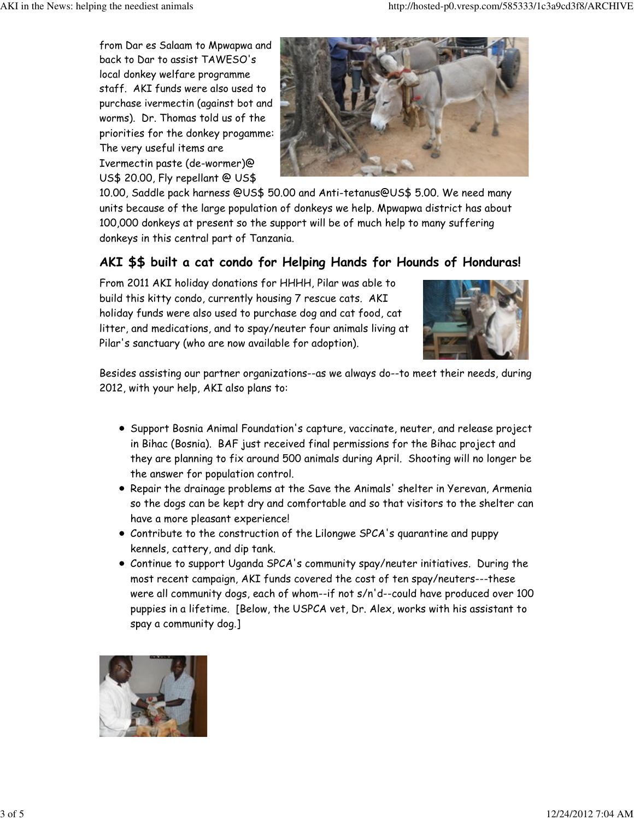from Dar es Salaam to Mpwapwa and back to Dar to assist TAWESO's local donkey welfare programme staff. AKI funds were also used to purchase ivermectin (against bot and worms). Dr. Thomas told us of the priorities for the donkey progamme: The very useful items are Ivermectin paste (de-wormer)@ US\$ 20.00, Fly repellant @ US\$



10.00, Saddle pack harness @US\$ 50.00 and Anti-tetanus@US\$ 5.00. We need many units because of the large population of donkeys we help. Mpwapwa district has about 100,000 donkeys at present so the support will be of much help to many suffering donkeys in this central part of Tanzania.

## AKI \$\$ built a cat condo for Helping Hands for Hounds of Honduras!

From 2011 AKI holiday donations for HHHH, Pilar was able to build this kitty condo, currently housing 7 rescue cats. AKI holiday funds were also used to purchase dog and cat food, cat litter, and medications, and to spay/neuter four animals living at Pilar's sanctuary (who are now available for adoption).



Besides assisting our partner organizations--as we always do--to meet their needs, during 2012, with your help, AKI also plans to:

- **•** Support Bosnia Animal Foundation's capture, vaccinate, neuter, and release project in Bihac (Bosnia). BAF just received final permissions for the Bihac project and they are planning to fix around 500 animals during April. Shooting will no longer be the answer for population control.
- Repair the drainage problems at the Save the Animals' shelter in Yerevan, Armenia so the dogs can be kept dry and comfortable and so that visitors to the shelter can have a more pleasant experience!
- Contribute to the construction of the Lilongwe SPCA's quarantine and puppy kennels, cattery, and dip tank.
- Continue to support Uganda SPCA's community spay/neuter initiatives. During the most recent campaign, AKI funds covered the cost of ten spay/neuters---these were all community dogs, each of whom--if not s/n'd--could have produced over 100 puppies in a lifetime. [Below, the USPCA vet, Dr. Alex, works with his assistant to spay a community dog.]

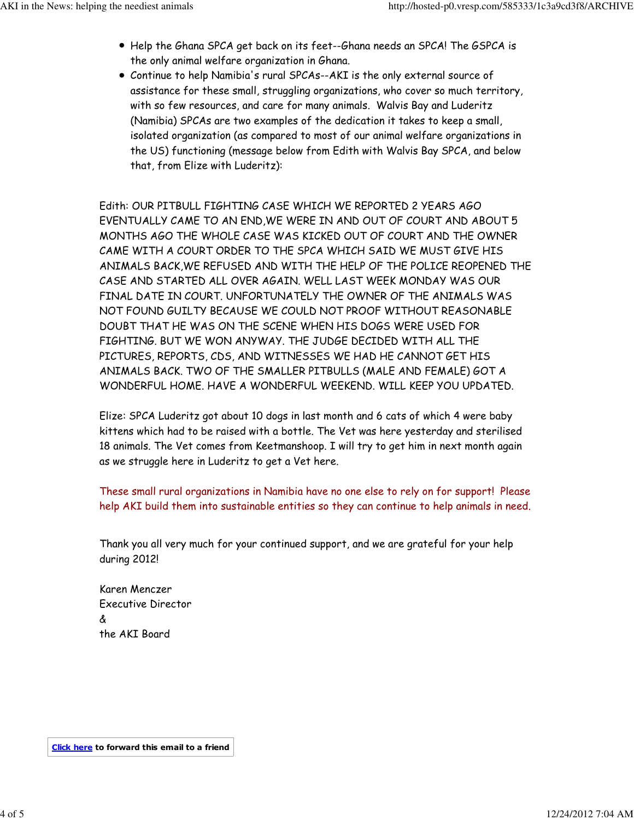- Help the Ghana SPCA get back on its feet--Ghana needs an SPCA! The GSPCA is the only animal welfare organization in Ghana.
- Continue to help Namibia's rural SPCAs--AKI is the only external source of assistance for these small, struggling organizations, who cover so much territory, with so few resources, and care for many animals. Walvis Bay and Luderitz (Namibia) SPCAs are two examples of the dedication it takes to keep a small, isolated organization (as compared to most of our animal welfare organizations in the US) functioning (message below from Edith with Walvis Bay SPCA, and below that, from Elize with Luderitz):

Edith: OUR PITBULL FIGHTING CASE WHICH WE REPORTED 2 YEARS AGO EVENTUALLY CAME TO AN END,WE WERE IN AND OUT OF COURT AND ABOUT 5 MONTHS AGO THE WHOLE CASE WAS KICKED OUT OF COURT AND THE OWNER CAME WITH A COURT ORDER TO THE SPCA WHICH SAID WE MUST GIVE HIS ANIMALS BACK,WE REFUSED AND WITH THE HELP OF THE POLICE REOPENED THE CASE AND STARTED ALL OVER AGAIN. WELL LAST WEEK MONDAY WAS OUR FINAL DATE IN COURT. UNFORTUNATELY THE OWNER OF THE ANIMALS WAS NOT FOUND GUILTY BECAUSE WE COULD NOT PROOF WITHOUT REASONABLE DOUBT THAT HE WAS ON THE SCENE WHEN HIS DOGS WERE USED FOR FIGHTING. BUT WE WON ANYWAY. THE JUDGE DECIDED WITH ALL THE PICTURES, REPORTS, CDS, AND WITNESSES WE HAD HE CANNOT GET HIS ANIMALS BACK. TWO OF THE SMALLER PITBULLS (MALE AND FEMALE) GOT A WONDERFUL HOME. HAVE A WONDERFUL WEEKEND. WILL KEEP YOU UPDATED.

Elize: SPCA Luderitz got about 10 dogs in last month and 6 cats of which 4 were baby kittens which had to be raised with a bottle. The Vet was here yesterday and sterilised 18 animals. The Vet comes from Keetmanshoop. I will try to get him in next month again as we struggle here in Luderitz to get a Vet here.

These small rural organizations in Namibia have no one else to rely on for support! Please help AKI build them into sustainable entities so they can continue to help animals in need.

Thank you all very much for your continued support, and we are grateful for your help during 2012!

Karen Menczer Executive Director & the AKI Board

Click here to forward this email to a friend